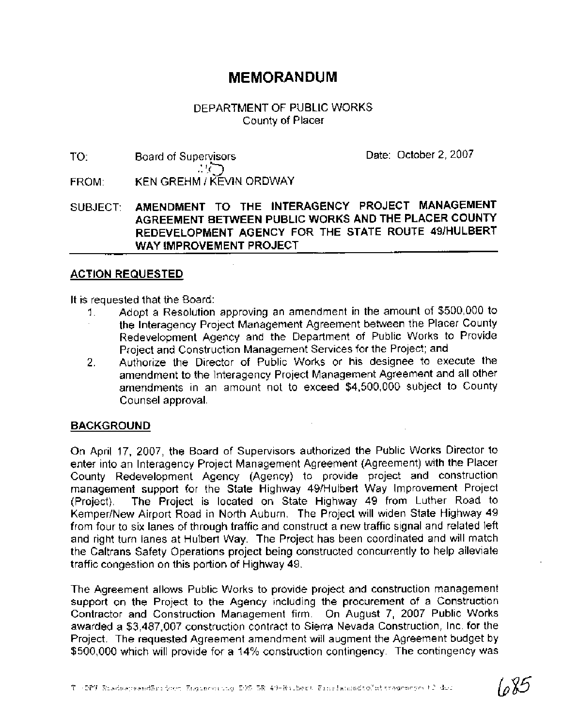## **MEMORANDUM**

#### DEPARTMENT OF PUBLIC WORKS County of Placer

**TO:** Board of Supervisors<br>  $\bigcup_{i=1}^{n}$ FROM: KEN GREHM / KEVIN ORDWAY Date: October 2, 2007

SUBJECT: **AMENDMENT TO THE INTERAGENCY PROJECT MANAGEMENT AGREEMENT BETWEEN PUBLIC WORKS AND THE PLACER COUNTY REDEVELOPMENT AGENCY FOR THE STATE ROUTE 491HULBERT WAY IMPROVEMENT PROJECT** 

#### **ACTION REQUESTED**

It is requested that the Board:

- 1. Adopt a Resolution approving an amendment in the amount of \$500,000 to the lnteragency Project Management Agreement between the Placer County Redevelopment Agency and the Department of Public Works to Provide Project and Construction Management Services for the Project; and
- 2. Authorize the Director of Public Works or his designee to execute the amendment to the lnteragency Project Management Agreement and all other amendments in an amount not to exceed \$4,500,000 subject to County Counsel approval.

### **BACKGROUND**

On April 17, 2007, the Board of Supervisors authorized the Public Works Director to enter into an lnteragency Project Management Agreement (Agreement) with the Placer County Redevelopment Agency (Agency) to provide project and construction management support for the State Highway 49lHulbert Way Improvement Project (Project). The Project is located on State Highway 49 from Luther Road to Kemper/New Airport Road in North Auburn. The Project will widen State Highway 49 from four to six lanes of through traffic and construct a new traffic signal and related left and right turn lanes at Hulbert Way. The Project has been coordinated and will match the Caltrans Safety Operations project being constructed concurrently to help alleviate traffic congestion on this portion of Highway 49.

The Agreement allows Public Works to provide project and construction management support on the Project to the Agency including the procurement of a Construction Contractor and Construction Management firm. On August 7, 2007 Public Works awarded a \$3,487,007 construction contract to Sierra Nevada Construction, Inc. for the Project. The requested Agreement amendment will augment the Agreement budget by \$500,000 which will provide for a 14% construction contingency. The contingency was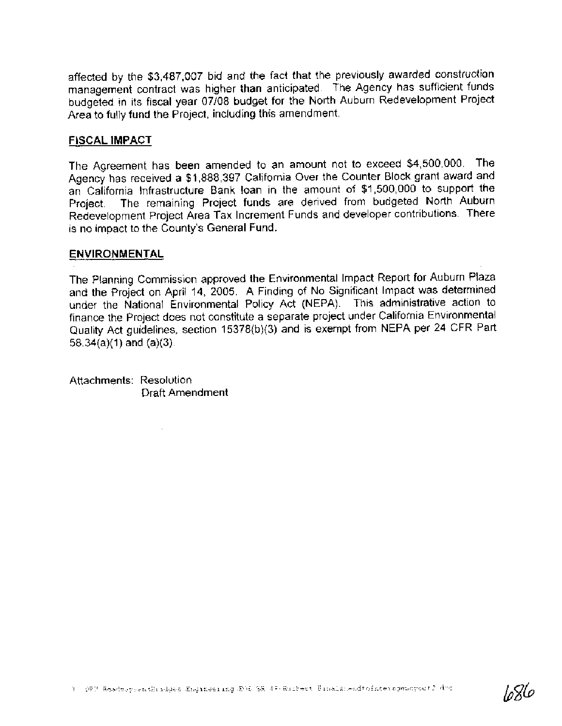affected by the \$3,487,007 bid and the fact that the previously awarded construction management contract was higher than anticipated. The Agency has sufficient funds budgeted in its fiscal year 07/08 budget for the North Auburn Redevelopment Project Area to fully fund the Project, including this amendment.

#### **FISCAL IMPACT**

The Agreement has been amended to an amount not to exceed \$4,500,000. The Agency has received a \$1,888,397 California Over the Counter Block grant award and an California Infrastructure Bank Ioan in the amount of \$1,500,000 to support the The remaining Project funds are derived from budgeted North Auburn Project. Redevelopment Project Area Tax Increment Funds and developer contributions. There is no impact to the County's General Fund.

#### **ENVIRONMENTAL**

The Planning Commission approved the Environmental Impact Report for Auburn Plaza and the Project on April 14, 2005. A Finding of No Significant Impact was determined under the National Environmental Policy Act (NEPA). This administrative action to finance the Project does not constitute a separate project under California Environmental Quality Act quidelines, section 15378(b)(3) and is exempt from NEPA per 24 CFR Part  $58.34(a)(1)$  and  $(a)(3)$ .

Attachments: Resolution **Draft Amendment** 

סאצון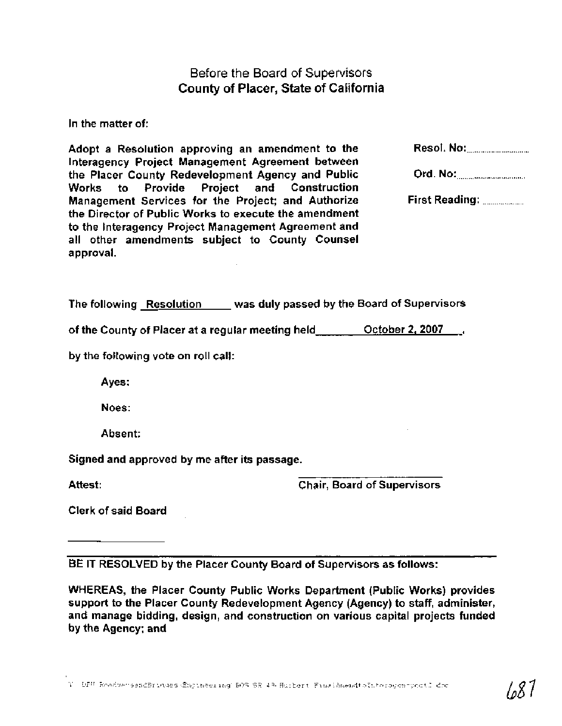Before the Board of Supervisors County of Placer, State of California

In the matter of:

Adopt a Resolution approving an amendment to the Resol. NO: ................................ lnteragency Project Management Agreement between the Placer County Redevelopment Agency and Public Ord. NO: ................................... Works to Provide Project and Construction Management Services for the Project; and Authorize First Reading: ..................... the Director of Public Works to execute the amendment to the lnteragency Project Management Agreement and all other amendments subject to County Counsel approval.

The following Resolution was duly passed by the Board of Supervisors

of the County of Placer at a regular meeting held October **2,2007** ,

by the following vote on roll call:

Ayes:

Noes:

Absent:

Signed and approved by me after its passage.

Attest:

Chair, Board of Supervisors

Clerk of said Board

BE IT RESOLVED by the Placer County Board of Supervisors as follows:

WHEREAS, the Placer County Public Works Department (Public Works) provides support to the Placer County Redevelopment Agency (Agency) to staff, administer, and manage bidding, design, and construction on various capital projects funded by the Agency; and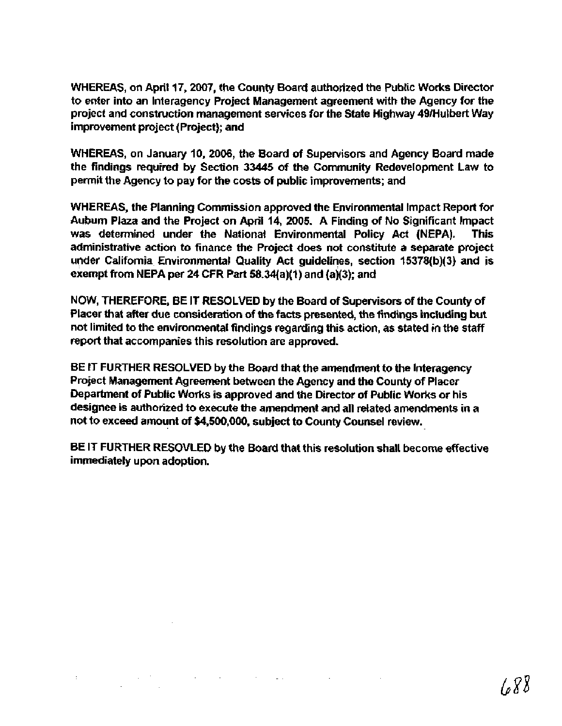WHEREAS, on April 17,2007, the County Board authorized the Public Works Director to enter into an lnteragency Project Management agreement with the Agency for the project and construction management services for the State Highway 49lHulbert Way improvement project (Project); and

WHEREAS, on January 10, 2006, the Board of Supewisors and Agency Board made the findings required by Section 33445 of the Community Redevelopment Law to permit the Agency to pay for the costs of public improvements; and

WHEREAS, the Planning Commission approved the Environmental Impact Report for Auburn Plaza and the Project on April 14, 2005. A Finding of No Significant lmpact was determined under the National Environmental Policy Act (NEPA). This administrative action to finance the Project does not constitute a separate project under California Environmental Quality Act guidelines, section 15378(b)(3) and is exempt from NEPA per 24 CFR Part 58.34(a)(1) and (a)(3); and

NOW, THEREFORE, BE IT RESOLVED by the Board of Supervisors of the County of Placer that after due consideration of the facts presented, the findings including but not limited to the environmental findings regarding this action, as stated in the staff report that accompanies this resolution are approved.

BE IT FURTHER RESOLVED by the Board that the amendment to the lnteragency Project Management Agreement between the Agency and the County of Placer Department of Public Works is approved and the Director of Public Works or his designee is authorized to execute the amendment and all related amendments in a not to exceed amount of \$4,500,000, subject to County Counsel review.

BE IT FURTHER RESOVLED by the Board that this resolution shall become effective immediately upon adoption.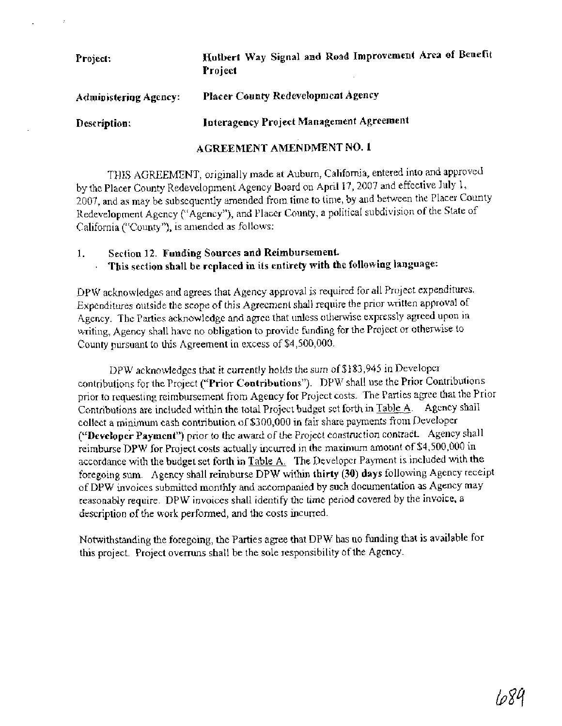# Project: **Mulbert Way Signal and Road Improvement Area of Benefit Project Administerjag Agency: Placer County Redevelopment Agency Description: Interagency Project Management Agreement AGREEMENT AMENDMENT NO. 1**

THIS AGREEMENT, originally made at Auburn, California, entered into and approved by the Placer County Redevelopment Agency Board on April 17, 2007 and effective July 1, 2007, and as may be subsequentIy amended from time to time, by and between the Placer County Redevelopment Agency ("Agency"), and Placer County, a political subdivision of the State of California ("County"), is amended as follows:

I. **Section 12. Funding Sources and Reimbursement. This section shall be replaced in its entirety with the following language:** 

DPW acknowledges and agrees that Agency approval is required for all Project expenditures. Expenditures outside the scope of this Agreement shall require the prior written approval of Agency. The Parties acknowledge and agree that unless otherwise expressly agreed upon in writing, Agency shall have no obligation to provide funding for the Project or otherwise to County pursuant to this Agreement in excess of \$4,500,000.

DPW acknowledges that it currently holds the sum of \$183,945 in Developer contributions for the Project **("Prior Contributions").** DPW shall use the Prior Contributions prior to requesting reimbursement fiom Agency for Project costs. The Parties agree that the Prior Contributions are included within the total Project budget set forth in Table A. Agency shall collect **a** minimum cash contribution of \$300,000 in fair share payments fiom Developer ("Developer Payment") prior to the award of the Project construction contract. Agency shall reimburse DPW for Project costs actually incurred in the maximum amount of \$4,500,000 in accordance with the budget set forth in Table A. The Developer Payment is included with the foregoing sum. Agency shall reimburse DPW within **thirty (30) days** following Agency receipt of DPW invoices submitted monthly and accompanied by such documentation as Agency may reasonably require. DPW invoices shall identify the time period covered by the invoice, a description of the work performed, and the costs incurred.

Notwithstanding the foregoing, the Parties agree that DPW has no funding that is available for this project. Project overmns shall be the sole responsibility of the Agency.